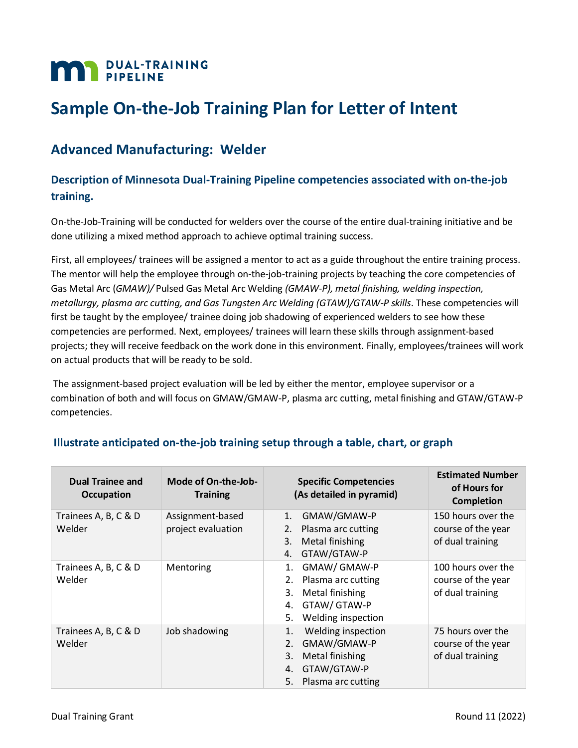# **MAN** DUAL-TRAINING

# **Sample On-the-Job Training Plan for Letter of Intent**

## **Advanced Manufacturing: Welder**

### **Description of Minnesota Dual-Training Pipeline competencies associated with on-the-job training.**

On-the-Job-Training will be conducted for welders over the course of the entire dual-training initiative and be done utilizing a mixed method approach to achieve optimal training success.

First, all employees/ trainees will be assigned a mentor to act as a guide throughout the entire training process. The mentor will help the employee through on-the-job-training projects by teaching the core competencies of Gas Metal Arc (*GMAW)/* Pulsed Gas Metal Arc Welding *(GMAW-P), metal finishing, welding inspection, metallurgy, plasma arc cutting, and Gas Tungsten Arc Welding (GTAW)/GTAW-P skills*. These competencies will first be taught by the employee/ trainee doing job shadowing of experienced welders to see how these competencies are performed. Next, employees/ trainees will learn these skills through assignment-based projects; they will receive feedback on the work done in this environment. Finally, employees/trainees will work on actual products that will be ready to be sold.

The assignment-based project evaluation will be led by either the mentor, employee supervisor or a combination of both and will focus on GMAW/GMAW-P, plasma arc cutting, metal finishing and GTAW/GTAW-P competencies.

| <b>Dual Trainee and</b><br><b>Occupation</b> | Mode of On-the-Job-<br><b>Training</b> | <b>Specific Competencies</b><br>(As detailed in pyramid)                                                                 | <b>Estimated Number</b><br>of Hours for<br><b>Completion</b> |
|----------------------------------------------|----------------------------------------|--------------------------------------------------------------------------------------------------------------------------|--------------------------------------------------------------|
| Trainees A, B, C & D<br>Welder               | Assignment-based<br>project evaluation | GMAW/GMAW-P<br>1.<br>Plasma arc cutting<br>2.<br>Metal finishing<br>3.<br>GTAW/GTAW-P<br>4.                              | 150 hours over the<br>course of the year<br>of dual training |
| Trainees A, B, C & D<br>Welder               | Mentoring                              | GMAW/GMAW-P<br>1.<br>Plasma arc cutting<br>2.<br>Metal finishing<br>3.<br>GTAW/ GTAW-P<br>4.<br>Welding inspection<br>5. | 100 hours over the<br>course of the year<br>of dual training |
| Trainees A, B, C & D<br>Welder               | Job shadowing                          | Welding inspection<br>1.<br>GMAW/GMAW-P<br>2.<br>Metal finishing<br>3.<br>GTAW/GTAW-P<br>4.<br>5.<br>Plasma arc cutting  | 75 hours over the<br>course of the year<br>of dual training  |

#### **Illustrate anticipated on-the-job training setup through a table, chart, or graph**